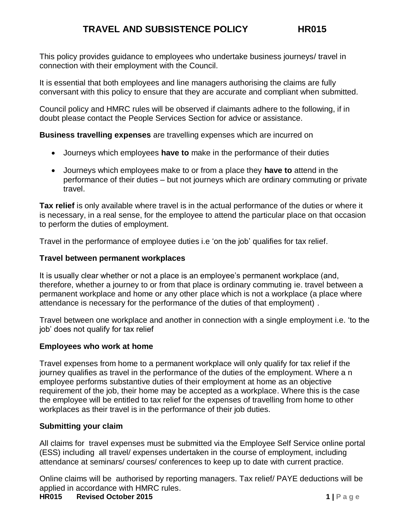This policy provides guidance to employees who undertake business journeys/ travel in connection with their employment with the Council.

It is essential that both employees and line managers authorising the claims are fully conversant with this policy to ensure that they are accurate and compliant when submitted.

Council policy and HMRC rules will be observed if claimants adhere to the following, if in doubt please contact the People Services Section for advice or assistance.

**Business travelling expenses** are travelling expenses which are incurred on

- Journeys which employees **have to** make in the performance of their duties
- Journeys which employees make to or from a place they **have to** attend in the performance of their duties – but not journeys which are ordinary commuting or private travel.

**Tax relief** is only available where travel is in the actual performance of the duties or where it is necessary, in a real sense, for the employee to attend the particular place on that occasion to perform the duties of employment.

Travel in the performance of employee duties i.e 'on the job' qualifies for tax relief.

## **Travel between permanent workplaces**

It is usually clear whether or not a place is an employee's permanent workplace (and, therefore, whether a journey to or from that place is ordinary commuting ie. travel between a permanent workplace and home or any other place which is not a workplace (a place where attendance is necessary for the performance of the duties of that employment) .

Travel between one workplace and another in connection with a single employment i.e. 'to the job' does not qualify for tax relief

# **Employees who work at home**

Travel expenses from home to a permanent workplace will only qualify for tax relief if the journey qualifies as travel in the performance of the duties of the employment. Where a n employee performs substantive duties of their employment at home as an objective requirement of the job, their home may be accepted as a workplace. Where this is the case the employee will be entitled to tax relief for the expenses of travelling from home to other workplaces as their travel is in the performance of their job duties.

# **Submitting your claim**

All claims for travel expenses must be submitted via the Employee Self Service online portal (ESS) including all travel/ expenses undertaken in the course of employment, including attendance at seminars/ courses/ conferences to keep up to date with current practice.

Online claims will be authorised by reporting managers. Tax relief/ PAYE deductions will be applied in accordance with HMRC rules.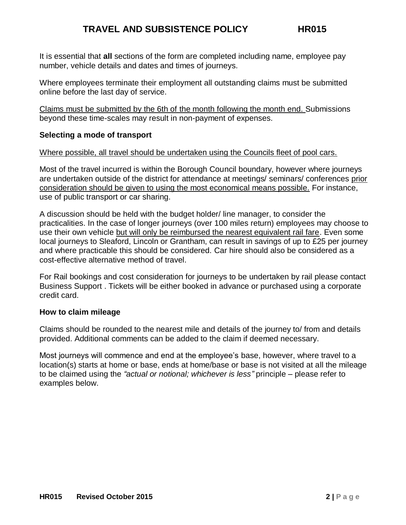It is essential that **all** sections of the form are completed including name, employee pay number, vehicle details and dates and times of journeys.

Where employees terminate their employment all outstanding claims must be submitted online before the last day of service.

Claims must be submitted by the 6th of the month following the month end. Submissions beyond these time-scales may result in non-payment of expenses.

## **Selecting a mode of transport**

### Where possible, all travel should be undertaken using the Councils fleet of pool cars.

Most of the travel incurred is within the Borough Council boundary, however where journeys are undertaken outside of the district for attendance at meetings/ seminars/ conferences prior consideration should be given to using the most economical means possible. For instance, use of public transport or car sharing.

A discussion should be held with the budget holder/ line manager, to consider the practicalities. In the case of longer journeys (over 100 miles return) employees may choose to use their own vehicle but will only be reimbursed the nearest equivalent rail fare. Even some local journeys to Sleaford, Lincoln or Grantham, can result in savings of up to £25 per journey and where practicable this should be considered. Car hire should also be considered as a cost-effective alternative method of travel.

For Rail bookings and cost consideration for journeys to be undertaken by rail please contact Business Support . Tickets will be either booked in advance or purchased using a corporate credit card.

#### **How to claim mileage**

Claims should be rounded to the nearest mile and details of the journey to/ from and details provided. Additional comments can be added to the claim if deemed necessary.

Most journeys will commence and end at the employee's base, however, where travel to a location(s) starts at home or base, ends at home/base or base is not visited at all the mileage to be claimed using the *"actual or notional; whichever is less"* principle – please refer to examples below.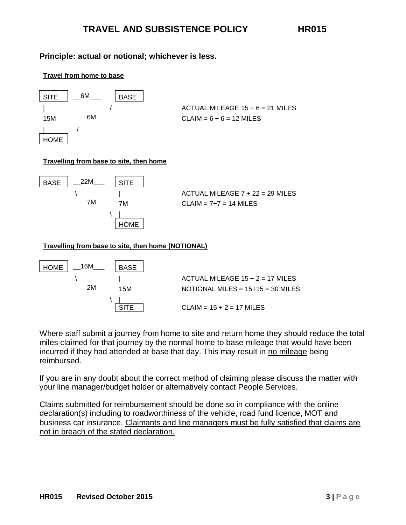## **Principle: actual or notional; whichever is less.**





#### **Travelling from base to site, then home**



#### **Travelling from base to site, then home (NOTIONAL)**



Where staff submit a journey from home to site and return home they should reduce the total miles claimed for that journey by the normal home to base mileage that would have been incurred if they had attended at base that day. This may result in no mileage being reimbursed.

If you are in any doubt about the correct method of claiming please discuss the matter with your line manager/budget holder or alternatively contact People Services.

Claims submitted for reimbursement should be done so in compliance with the online declaration(s) including to roadworthiness of the vehicle, road fund licence, MOT and business car insurance. Claimants and line managers must be fully satisfied that claims are not in breach of the stated declaration.